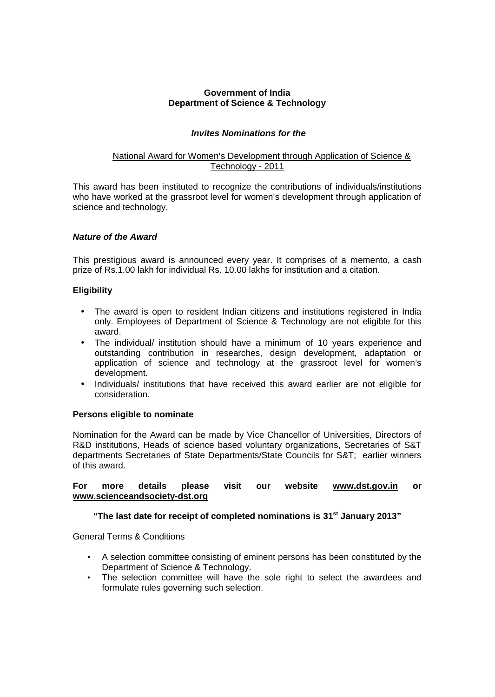### Government of India Department of Science & Technology

# Invites Nominations for the

## National Award for Women€s Development through Application of Science & Technology - 2011

This award has been instituted to recognize the contributions of individuals/institutions who have worked at the grassroot level for women€s development through application of science and technology.

### Nature of the Award

This prestigious award is announced every year. It comprises of a memento, a cash prize of Rs.1.00 lakh for individual Rs. 10.00 lakhs for institution and a citation.

### **Eligibility**

- · The award is open to resident Indian citizens and institutions registered in India only. Employees of Department of Science & Technology are not eligible for this award.
- The individual/ institution should have a minimum of 10 years experience and outstanding contribution in researches, design development, adaptation or application of science and technology at the grassroot level for women€s development.
- · Individuals/ institutions that have received this award earlier are not eligible for consideration.

### Persons eligible to nominate

Nomination for the Award can be made by Vice Chancellor of Universities, Directors of R&D institutions, Heads of science based voluntary organizations, Secretaries of S&T departments Secretaries of State Departments/State Councils for S&T; earlier winners of this award.

| For                            |  |  | more details please visit our |  | website | www.dst.gov.in | or |
|--------------------------------|--|--|-------------------------------|--|---------|----------------|----|
| www.scienceandsociety -dst.org |  |  |                               |  |         |                |    |

€The last date for receipt of completed nominations is  $31<sup>st</sup>$  January 2013 •

### General Terms & Conditions

- € A selection committee consisting of eminent persons has been constituted by the Department of Science & Technology.
- € The selection committee will have the sole right to select the awardees and formulate rules governing such selection.